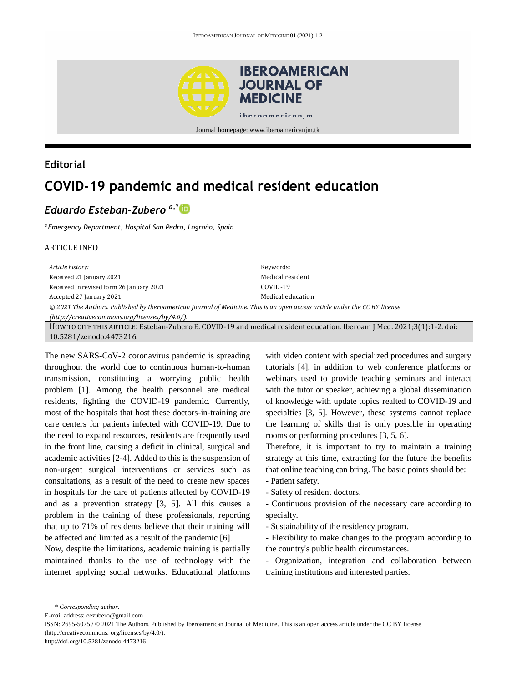

## **Editorial**

# **COVID-19 pandemic and medical resident education**

# *Eduardo Esteban-Zubero a,\**

*a Emergency Department, Hospital San Pedro, Logroño, Spain*

#### ARTICLE INFO

| Article history:                                                                                                           | Keywords:         |
|----------------------------------------------------------------------------------------------------------------------------|-------------------|
| Received 21 January 2021                                                                                                   | Medical resident  |
| Received in revised form 26 January 2021                                                                                   | $COVID-19$        |
| Accepted 27 January 2021                                                                                                   | Medical education |
| © 2021 The Authors. Published by Iberoamerican Journal of Medicine. This is an open access article under the CC BY license |                   |
| (http://creativecommons.org/licenses/by/4.0/).                                                                             |                   |
| HOW TO CITE THIS ARTICLE: Esteban-Zubero E. COVID-19 and medical resident education. Iberoam J Med. 2021;3(1):1-2. doi:    |                   |
| 10.5281/zenodo.4473216.                                                                                                    |                   |
|                                                                                                                            |                   |

The new SARS-CoV-2 coronavirus pandemic is spreading throughout the world due to continuous human-to-human transmission, constituting a worrying public health problem [1]. Among the health personnel are medical residents, fighting the COVID-19 pandemic. Currently, most of the hospitals that host these doctors-in-training are care centers for patients infected with COVID-19. Due to the need to expand resources, residents are frequently used in the front line, causing a deficit in clinical, surgical and academic activities [2-4]. Added to this is the suspension of non-urgent surgical interventions or services such as consultations, as a result of the need to create new spaces in hospitals for the care of patients affected by COVID-19 and as a prevention strategy [3, 5]. All this causes a problem in the training of these professionals, reporting that up to 71% of residents believe that their training will be affected and limited as a result of the pandemic [6].

Now, despite the limitations, academic training is partially maintained thanks to the use of technology with the internet applying social networks. Educational platforms

with video content with specialized procedures and surgery tutorials [4], in addition to web conference platforms or webinars used to provide teaching seminars and interact with the tutor or speaker, achieving a global dissemination of knowledge with update topics realted to COVID-19 and specialties [3, 5]. However, these systems cannot replace the learning of skills that is only possible in operating rooms or performing procedures [3, 5, 6].

Therefore, it is important to try to maintain a training strategy at this time, extracting for the future the benefits that online teaching can bring. The basic points should be:

- Patient safety.
- Safety of resident doctors.

- Continuous provision of the necessary care according to specialty.

- Sustainability of the residency program.

- Flexibility to make changes to the program according to the country's public health circumstances.

- Organization, integration and collaboration between training institutions and interested parties.

E-mail address: eezubero@gmail.com

<sup>\*</sup> *Corresponding author.*

ISSN: 2695-5075 / © 2021 The Authors. Published by Iberoamerican Journal of Medicine. This is an open access article under the CC BY license (http://creativecommons. org/licenses/by/4.0/).